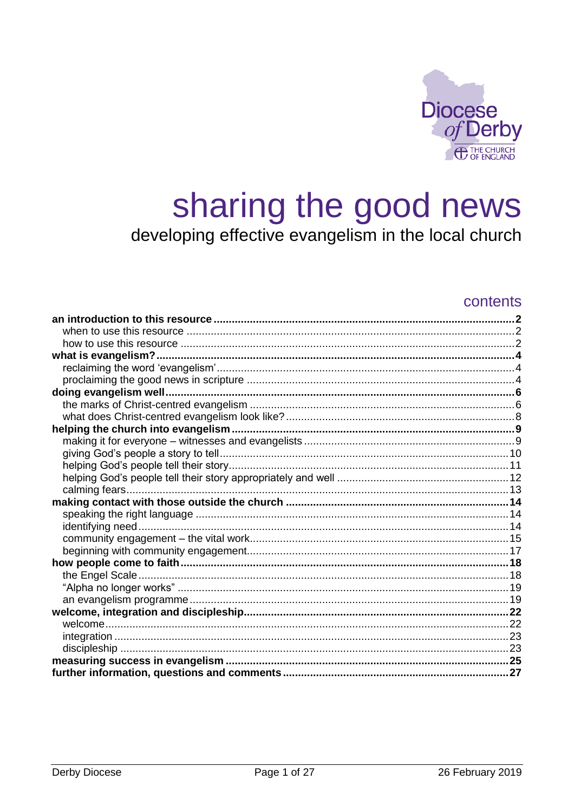

# sharing the good news developing effective evangelism in the local church

### contents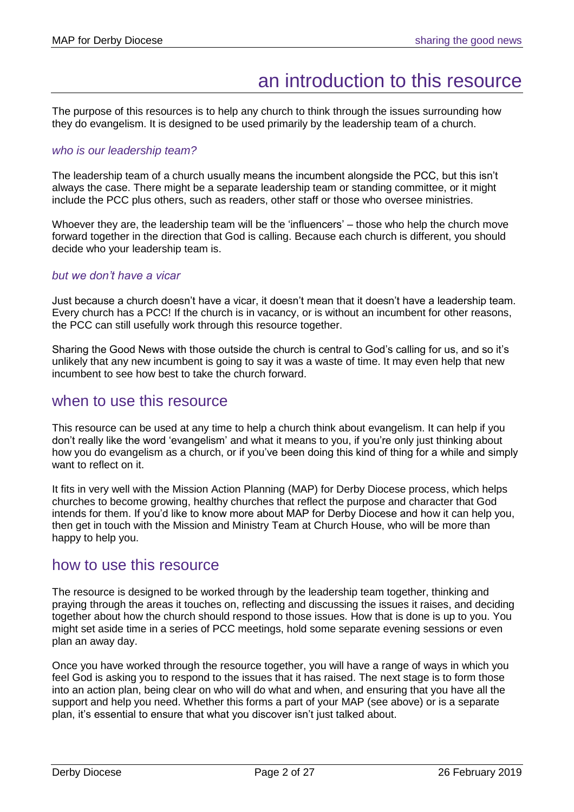## an introduction to this resource

<span id="page-1-0"></span>The purpose of this resources is to help any church to think through the issues surrounding how they do evangelism. It is designed to be used primarily by the leadership team of a church.

#### *who is our leadership team?*

The leadership team of a church usually means the incumbent alongside the PCC, but this isn't always the case. There might be a separate leadership team or standing committee, or it might include the PCC plus others, such as readers, other staff or those who oversee ministries.

Whoever they are, the leadership team will be the 'influencers' – those who help the church move forward together in the direction that God is calling. Because each church is different, you should decide who your leadership team is.

#### *but we don't have a vicar*

Just because a church doesn't have a vicar, it doesn't mean that it doesn't have a leadership team. Every church has a PCC! If the church is in vacancy, or is without an incumbent for other reasons, the PCC can still usefully work through this resource together.

Sharing the Good News with those outside the church is central to God's calling for us, and so it's unlikely that any new incumbent is going to say it was a waste of time. It may even help that new incumbent to see how best to take the church forward.

### <span id="page-1-1"></span>when to use this resource

This resource can be used at any time to help a church think about evangelism. It can help if you don't really like the word 'evangelism' and what it means to you, if you're only just thinking about how you do evangelism as a church, or if you've been doing this kind of thing for a while and simply want to reflect on it.

It fits in very well with the Mission Action Planning (MAP) for Derby Diocese process, which helps churches to become growing, healthy churches that reflect the purpose and character that God intends for them. If you'd like to know more about MAP for Derby Diocese and how it can help you, then get in touch with the Mission and Ministry Team at Church House, who will be more than happy to help you.

### <span id="page-1-2"></span>how to use this resource

The resource is designed to be worked through by the leadership team together, thinking and praying through the areas it touches on, reflecting and discussing the issues it raises, and deciding together about how the church should respond to those issues. How that is done is up to you. You might set aside time in a series of PCC meetings, hold some separate evening sessions or even plan an away day.

Once you have worked through the resource together, you will have a range of ways in which you feel God is asking you to respond to the issues that it has raised. The next stage is to form those into an action plan, being clear on who will do what and when, and ensuring that you have all the support and help you need. Whether this forms a part of your MAP (see above) or is a separate plan, it's essential to ensure that what you discover isn't just talked about.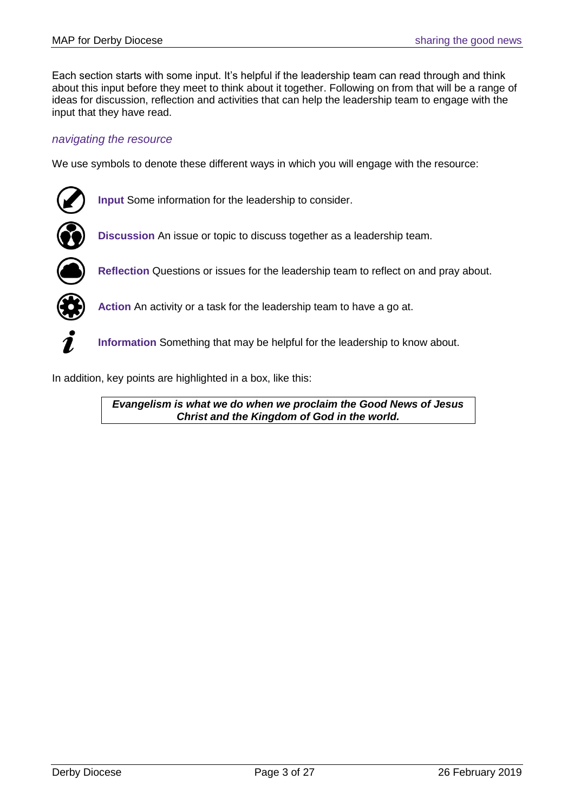Each section starts with some input. It's helpful if the leadership team can read through and think about this input before they meet to think about it together. Following on from that will be a range of ideas for discussion, reflection and activities that can help the leadership team to engage with the input that they have read.

#### *navigating the resource*

We use symbols to denote these different ways in which you will engage with the resource:



**Input** Some information for the leadership to consider.



**Discussion** An issue or topic to discuss together as a leadership team.



**Reflection** Questions or issues for the leadership team to reflect on and pray about.



**Action** An activity or a task for the leadership team to have a go at.



**Information** Something that may be helpful for the leadership to know about.

In addition, key points are highlighted in a box, like this:

*Evangelism is what we do when we proclaim the Good News of Jesus Christ and the Kingdom of God in the world.*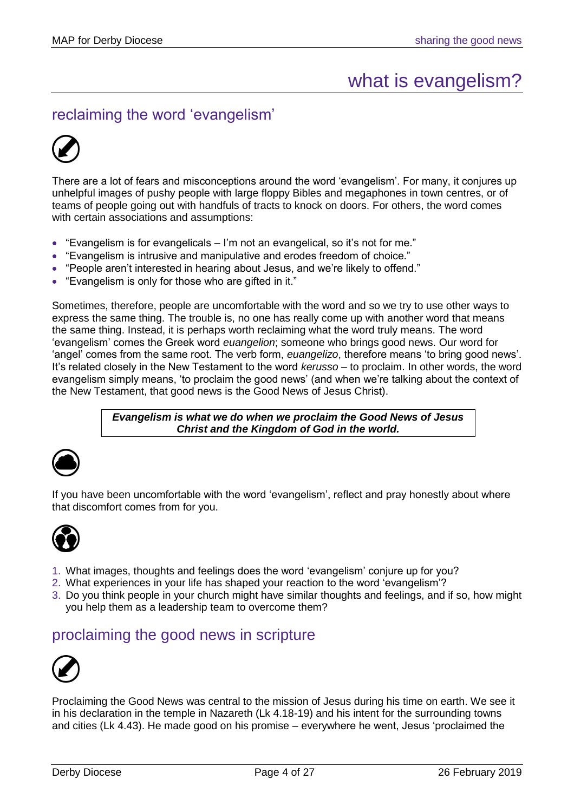## what is evangelism?

<span id="page-3-1"></span><span id="page-3-0"></span>reclaiming the word 'evangelism'



There are a lot of fears and misconceptions around the word 'evangelism'. For many, it conjures up unhelpful images of pushy people with large floppy Bibles and megaphones in town centres, or of teams of people going out with handfuls of tracts to knock on doors. For others, the word comes with certain associations and assumptions:

- "Evangelism is for evangelicals I'm not an evangelical, so it's not for me."
- "Evangelism is intrusive and manipulative and erodes freedom of choice."
- "People aren't interested in hearing about Jesus, and we're likely to offend."
- "Evangelism is only for those who are gifted in it."

Sometimes, therefore, people are uncomfortable with the word and so we try to use other ways to express the same thing. The trouble is, no one has really come up with another word that means the same thing. Instead, it is perhaps worth reclaiming what the word truly means. The word 'evangelism' comes the Greek word *euangelion*; someone who brings good news. Our word for 'angel' comes from the same root. The verb form, *euangelizo*, therefore means 'to bring good news'. It's related closely in the New Testament to the word *kerusso* – to proclaim. In other words, the word evangelism simply means, 'to proclaim the good news' (and when we're talking about the context of the New Testament, that good news is the Good News of Jesus Christ).

> *Evangelism is what we do when we proclaim the Good News of Jesus Christ and the Kingdom of God in the world.*



If you have been uncomfortable with the word 'evangelism', reflect and pray honestly about where that discomfort comes from for you.



- 1. What images, thoughts and feelings does the word 'evangelism' conjure up for you?
- 2. What experiences in your life has shaped your reaction to the word 'evangelism'?
- 3. Do you think people in your church might have similar thoughts and feelings, and if so, how might you help them as a leadership team to overcome them?

### <span id="page-3-2"></span>proclaiming the good news in scripture



Proclaiming the Good News was central to the mission of Jesus during his time on earth. We see it in his declaration in the temple in Nazareth (Lk 4.18-19) and his intent for the surrounding towns and cities (Lk 4.43). He made good on his promise – everywhere he went, Jesus 'proclaimed the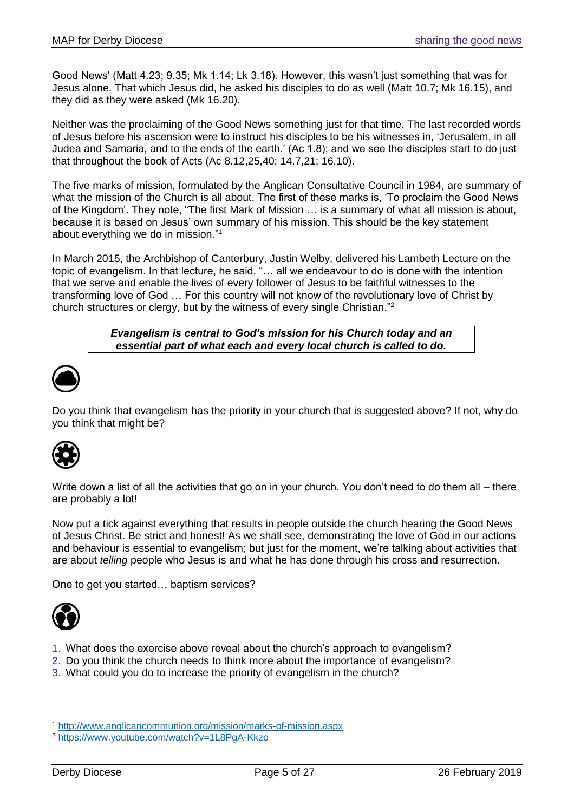Good News' (Matt 4.23; 9.35; Mk 1.14; Lk 3.18). However, this wasn't just something that was for Jesus alone. That which Jesus did, he asked his disciples to do as well (Matt 10.7; Mk 16.15), and they did as they were asked (Mk 16.20).

Neither was the proclaiming of the Good News something just for that time. The last recorded words of Jesus before his ascension were to instruct his disciples to be his witnesses in, 'Jerusalem, in all Judea and Samaria, and to the ends of the earth.' (Ac 1.8); and we see the disciples start to do just that throughout the book of Acts (Ac 8.12,25,40; 14.7,21; 16.10).

The five marks of mission, formulated by the Anglican Consultative Council in 1984, are summary of what the mission of the Church is all about. The first of these marks is, 'To proclaim the Good News of the Kingdom'. They note, "The first Mark of Mission … is a summary of what all mission is about, because it is based on Jesus' own summary of his mission. This should be the key statement about everything we do in mission." 1

In March 2015, the Archbishop of Canterbury, Justin Welby, delivered his Lambeth Lecture on the topic of evangelism. In that lecture, he said, "… all we endeavour to do is done with the intention that we serve and enable the lives of every follower of Jesus to be faithful witnesses to the transforming love of God … For this country will not know of the revolutionary love of Christ by church structures or clergy, but by the witness of every single Christian." 2

> *Evangelism is central to God's mission for his Church today and an essential part of what each and every local church is called to do.*



Do you think that evangelism has the priority in your church that is suggested above? If not, why do you think that might be?



Write down a list of all the activities that go on in your church. You don't need to do them all – there are probably a lot!

Now put a tick against everything that results in people outside the church hearing the Good News of Jesus Christ. Be strict and honest! As we shall see, demonstrating the love of God in our actions and behaviour is essential to evangelism; but just for the moment, we're talking about activities that are about *telling* people who Jesus is and what he has done through his cross and resurrection.

One to get you started… baptism services?



- 1. What does the exercise above reveal about the church's approach to evangelism?
- 2. Do you think the church needs to think more about the importance of evangelism?
- 3. What could you do to increase the priority of evangelism in the church?

<sup>1</sup> <http://www.anglicancommunion.org/mission/marks-of-mission.aspx>

<sup>2</sup> <https://www.youtube.com/watch?v=1L8PgA-Kkzo>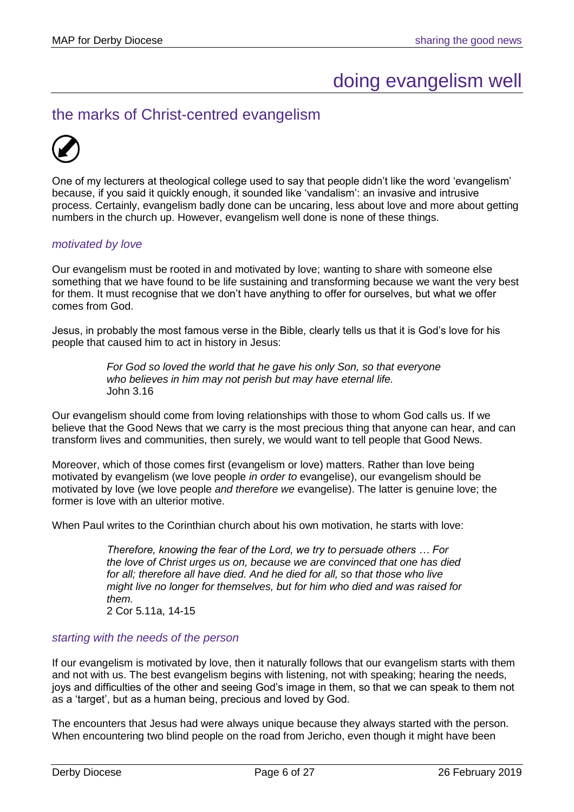## doing evangelism well

## <span id="page-5-1"></span><span id="page-5-0"></span>the marks of Christ-centred evangelism



One of my lecturers at theological college used to say that people didn't like the word 'evangelism' because, if you said it quickly enough, it sounded like 'vandalism': an invasive and intrusive process. Certainly, evangelism badly done can be uncaring, less about love and more about getting numbers in the church up. However, evangelism well done is none of these things.

#### *motivated by love*

Our evangelism must be rooted in and motivated by love; wanting to share with someone else something that we have found to be life sustaining and transforming because we want the very best for them. It must recognise that we don't have anything to offer for ourselves, but what we offer comes from God.

Jesus, in probably the most famous verse in the Bible, clearly tells us that it is God's love for his people that caused him to act in history in Jesus:

> *For God so loved the world that he gave his only Son, so that everyone who believes in him may not perish but may have eternal life.* John 3.16

Our evangelism should come from loving relationships with those to whom God calls us. If we believe that the Good News that we carry is the most precious thing that anyone can hear, and can transform lives and communities, then surely, we would want to tell people that Good News.

Moreover, which of those comes first (evangelism or love) matters. Rather than love being motivated by evangelism (we love people *in order to* evangelise), our evangelism should be motivated by love (we love people *and therefore we* evangelise). The latter is genuine love; the former is love with an ulterior motive.

When Paul writes to the Corinthian church about his own motivation, he starts with love:

*Therefore, knowing the fear of the Lord, we try to persuade others … For the love of Christ urges us on, because we are convinced that one has died*  for all; therefore all have died. And he died for all, so that those who live *might live no longer for themselves, but for him who died and was raised for them.* 2 Cor 5.11a, 14-15

#### *starting with the needs of the person*

If our evangelism is motivated by love, then it naturally follows that our evangelism starts with them and not with us. The best evangelism begins with listening, not with speaking; hearing the needs, joys and difficulties of the other and seeing God's image in them, so that we can speak to them not as a 'target', but as a human being, precious and loved by God.

The encounters that Jesus had were always unique because they always started with the person. When encountering two blind people on the road from Jericho, even though it might have been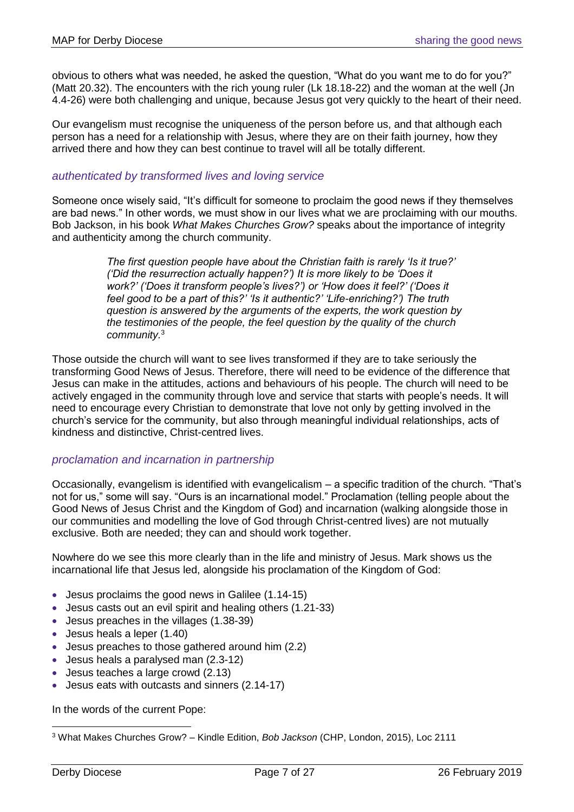obvious to others what was needed, he asked the question, "What do you want me to do for you?" (Matt 20.32). The encounters with the rich young ruler (Lk 18.18-22) and the woman at the well (Jn 4.4-26) were both challenging and unique, because Jesus got very quickly to the heart of their need.

Our evangelism must recognise the uniqueness of the person before us, and that although each person has a need for a relationship with Jesus, where they are on their faith journey, how they arrived there and how they can best continue to travel will all be totally different.

#### *authenticated by transformed lives and loving service*

Someone once wisely said, "It's difficult for someone to proclaim the good news if they themselves are bad news." In other words, we must show in our lives what we are proclaiming with our mouths. Bob Jackson, in his book *What Makes Churches Grow?* speaks about the importance of integrity and authenticity among the church community.

> *The first question people have about the Christian faith is rarely 'Is it true?' ('Did the resurrection actually happen?') It is more likely to be 'Does it work?' ('Does it transform people's lives?') or 'How does it feel?' ('Does it feel good to be a part of this?' 'Is it authentic?' 'Life-enriching?') The truth question is answered by the arguments of the experts, the work question by the testimonies of the people, the feel question by the quality of the church community.*<sup>3</sup>

Those outside the church will want to see lives transformed if they are to take seriously the transforming Good News of Jesus. Therefore, there will need to be evidence of the difference that Jesus can make in the attitudes, actions and behaviours of his people. The church will need to be actively engaged in the community through love and service that starts with people's needs. It will need to encourage every Christian to demonstrate that love not only by getting involved in the church's service for the community, but also through meaningful individual relationships, acts of kindness and distinctive, Christ-centred lives.

#### *proclamation and incarnation in partnership*

Occasionally, evangelism is identified with evangelicalism – a specific tradition of the church. "That's not for us," some will say. "Ours is an incarnational model." Proclamation (telling people about the Good News of Jesus Christ and the Kingdom of God) and incarnation (walking alongside those in our communities and modelling the love of God through Christ-centred lives) are not mutually exclusive. Both are needed; they can and should work together.

Nowhere do we see this more clearly than in the life and ministry of Jesus. Mark shows us the incarnational life that Jesus led, alongside his proclamation of the Kingdom of God:

- Jesus proclaims the good news in Galilee (1.14-15)
- Jesus casts out an evil spirit and healing others (1.21-33)
- Jesus preaches in the villages (1.38-39)
- Jesus heals a leper (1.40)
- Jesus preaches to those gathered around him (2.2)
- Jesus heals a paralysed man (2.3-12)
- Jesus teaches a large crowd (2.13)
- Jesus eats with outcasts and sinners (2.14-17)

In the words of the current Pope:

<sup>3</sup> What Makes Churches Grow? – Kindle Edition, *Bob Jackson* (CHP, London, 2015), Loc 2111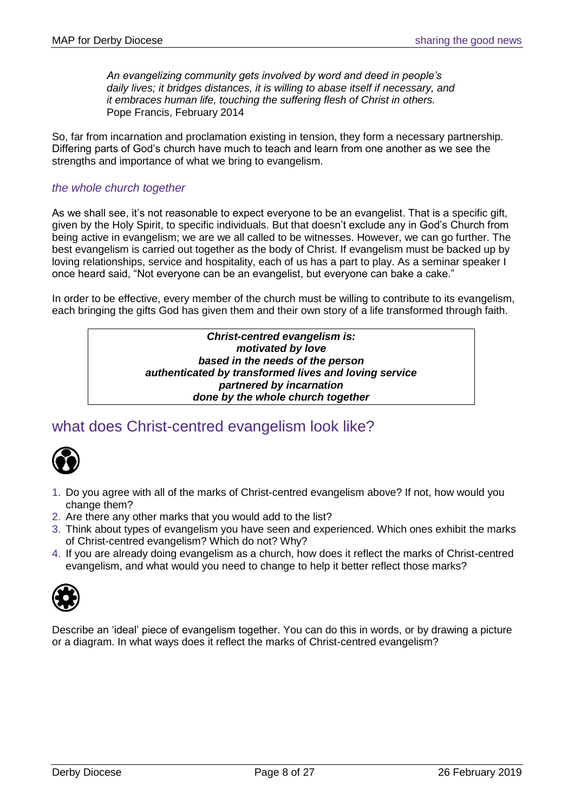*An evangelizing community gets involved by word and deed in people's daily lives; it bridges distances, it is willing to abase itself if necessary, and it embraces human life, touching the suffering flesh of Christ in others.* Pope Francis, February 2014

So, far from incarnation and proclamation existing in tension, they form a necessary partnership. Differing parts of God's church have much to teach and learn from one another as we see the strengths and importance of what we bring to evangelism.

#### *the whole church together*

As we shall see, it's not reasonable to expect everyone to be an evangelist. That is a specific gift, given by the Holy Spirit, to specific individuals. But that doesn't exclude any in God's Church from being active in evangelism; we are we all called to be witnesses. However, we can go further. The best evangelism is carried out together as the body of Christ. If evangelism must be backed up by loving relationships, service and hospitality, each of us has a part to play. As a seminar speaker I once heard said, "Not everyone can be an evangelist, but everyone can bake a cake."

In order to be effective, every member of the church must be willing to contribute to its evangelism, each bringing the gifts God has given them and their own story of a life transformed through faith.

*Christ-centred evangelism is: motivated by love based in the needs of the person authenticated by transformed lives and loving service partnered by incarnation done by the whole church together*

## <span id="page-7-0"></span>what does Christ-centred evangelism look like?



- 1. Do you agree with all of the marks of Christ-centred evangelism above? If not, how would you change them?
- 2. Are there any other marks that you would add to the list?
- 3. Think about types of evangelism you have seen and experienced. Which ones exhibit the marks of Christ-centred evangelism? Which do not? Why?
- 4. If you are already doing evangelism as a church, how does it reflect the marks of Christ-centred evangelism, and what would you need to change to help it better reflect those marks?



Describe an 'ideal' piece of evangelism together. You can do this in words, or by drawing a picture or a diagram. In what ways does it reflect the marks of Christ-centred evangelism?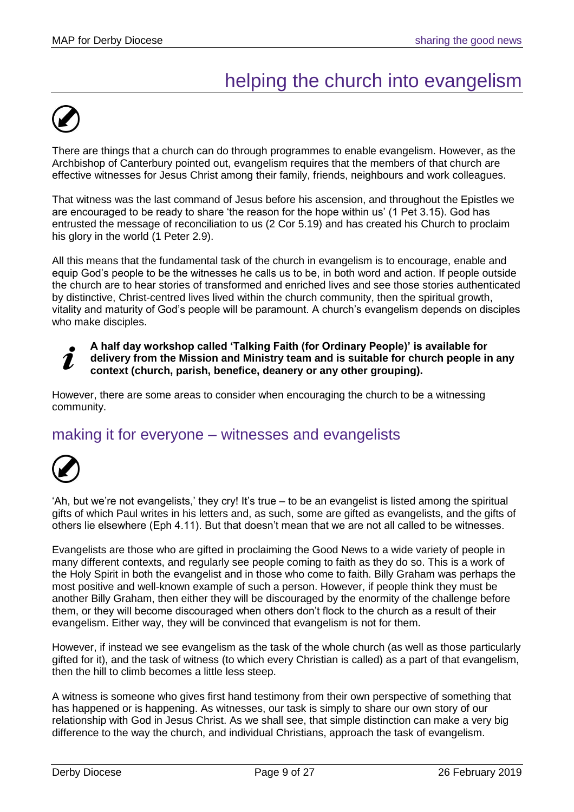## helping the church into evangelism

<span id="page-8-0"></span>

There are things that a church can do through programmes to enable evangelism. However, as the Archbishop of Canterbury pointed out, evangelism requires that the members of that church are effective witnesses for Jesus Christ among their family, friends, neighbours and work colleagues.

That witness was the last command of Jesus before his ascension, and throughout the Epistles we are encouraged to be ready to share 'the reason for the hope within us' (1 Pet 3.15). God has entrusted the message of reconciliation to us (2 Cor 5.19) and has created his Church to proclaim his glory in the world (1 Peter 2.9).

All this means that the fundamental task of the church in evangelism is to encourage, enable and equip God's people to be the witnesses he calls us to be, in both word and action. If people outside the church are to hear stories of transformed and enriched lives and see those stories authenticated by distinctive, Christ-centred lives lived within the church community, then the spiritual growth, vitality and maturity of God's people will be paramount. A church's evangelism depends on disciples who make disciples.

#### **A half day workshop called 'Talking Faith (for Ordinary People)' is available for delivery from the Mission and Ministry team and is suitable for church people in any**  7 **context (church, parish, benefice, deanery or any other grouping).**

However, there are some areas to consider when encouraging the church to be a witnessing community.

## <span id="page-8-1"></span>making it for everyone – witnesses and evangelists



'Ah, but we're not evangelists,' they cry! It's true – to be an evangelist is listed among the spiritual gifts of which Paul writes in his letters and, as such, some are gifted as evangelists, and the gifts of others lie elsewhere (Eph 4.11). But that doesn't mean that we are not all called to be witnesses.

Evangelists are those who are gifted in proclaiming the Good News to a wide variety of people in many different contexts, and regularly see people coming to faith as they do so. This is a work of the Holy Spirit in both the evangelist and in those who come to faith. Billy Graham was perhaps the most positive and well-known example of such a person. However, if people think they must be another Billy Graham, then either they will be discouraged by the enormity of the challenge before them, or they will become discouraged when others don't flock to the church as a result of their evangelism. Either way, they will be convinced that evangelism is not for them.

However, if instead we see evangelism as the task of the whole church (as well as those particularly gifted for it), and the task of witness (to which every Christian is called) as a part of that evangelism, then the hill to climb becomes a little less steep.

A witness is someone who gives first hand testimony from their own perspective of something that has happened or is happening. As witnesses, our task is simply to share our own story of our relationship with God in Jesus Christ. As we shall see, that simple distinction can make a very big difference to the way the church, and individual Christians, approach the task of evangelism.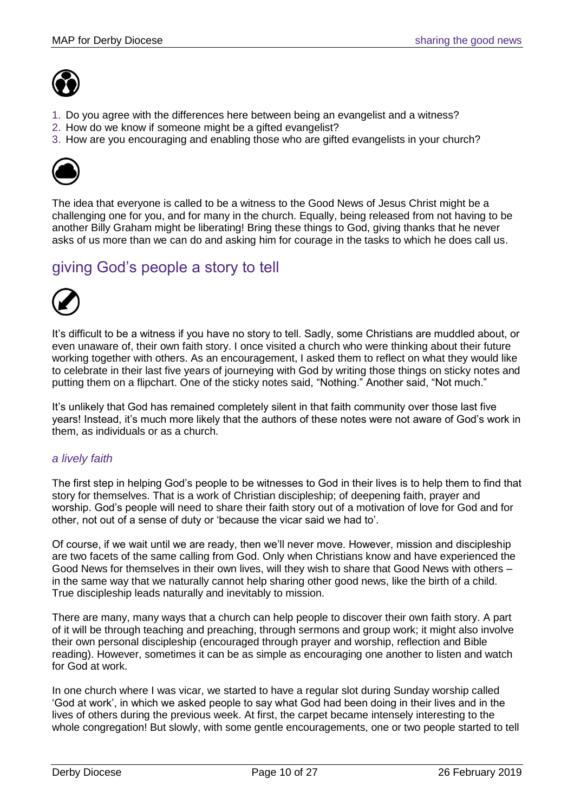

- 1. Do you agree with the differences here between being an evangelist and a witness?
- 2. How do we know if someone might be a gifted evangelist?
- 3. How are you encouraging and enabling those who are gifted evangelists in your church?



The idea that everyone is called to be a witness to the Good News of Jesus Christ might be a challenging one for you, and for many in the church. Equally, being released from not having to be another Billy Graham might be liberating! Bring these things to God, giving thanks that he never asks of us more than we can do and asking him for courage in the tasks to which he does call us.

## <span id="page-9-0"></span>giving God's people a story to tell



It's difficult to be a witness if you have no story to tell. Sadly, some Christians are muddled about, or even unaware of, their own faith story. I once visited a church who were thinking about their future working together with others. As an encouragement, I asked them to reflect on what they would like to celebrate in their last five years of journeying with God by writing those things on sticky notes and putting them on a flipchart. One of the sticky notes said, "Nothing." Another said, "Not much."

It's unlikely that God has remained completely silent in that faith community over those last five years! Instead, it's much more likely that the authors of these notes were not aware of God's work in them, as individuals or as a church.

### *a lively faith*

The first step in helping God's people to be witnesses to God in their lives is to help them to find that story for themselves. That is a work of Christian discipleship; of deepening faith, prayer and worship. God's people will need to share their faith story out of a motivation of love for God and for other, not out of a sense of duty or 'because the vicar said we had to'.

Of course, if we wait until we are ready, then we'll never move. However, mission and discipleship are two facets of the same calling from God. Only when Christians know and have experienced the Good News for themselves in their own lives, will they wish to share that Good News with others – in the same way that we naturally cannot help sharing other good news, like the birth of a child. True discipleship leads naturally and inevitably to mission.

There are many, many ways that a church can help people to discover their own faith story. A part of it will be through teaching and preaching, through sermons and group work; it might also involve their own personal discipleship (encouraged through prayer and worship, reflection and Bible reading). However, sometimes it can be as simple as encouraging one another to listen and watch for God at work.

In one church where I was vicar, we started to have a regular slot during Sunday worship called 'God at work', in which we asked people to say what God had been doing in their lives and in the lives of others during the previous week. At first, the carpet became intensely interesting to the whole congregation! But slowly, with some gentle encouragements, one or two people started to tell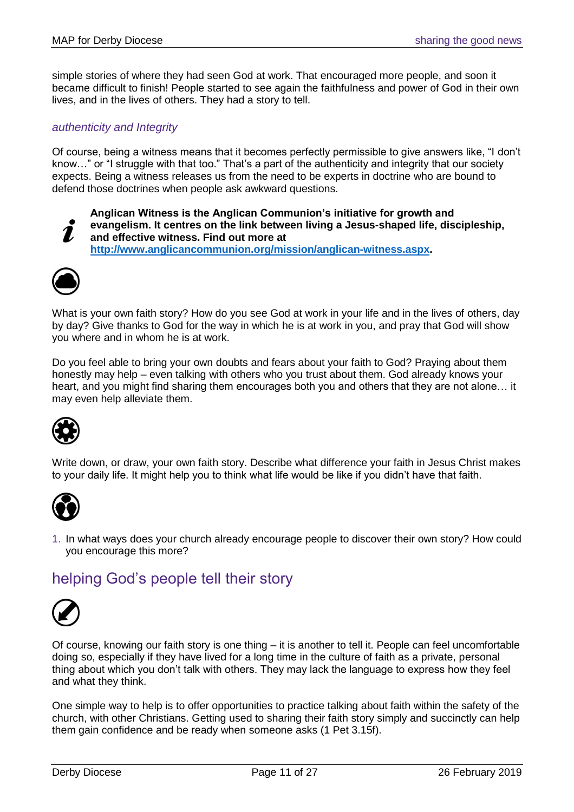simple stories of where they had seen God at work. That encouraged more people, and soon it became difficult to finish! People started to see again the faithfulness and power of God in their own lives, and in the lives of others. They had a story to tell.

#### *authenticity and Integrity*

Of course, being a witness means that it becomes perfectly permissible to give answers like, "I don't know…" or "I struggle with that too." That's a part of the authenticity and integrity that our society expects. Being a witness releases us from the need to be experts in doctrine who are bound to defend those doctrines when people ask awkward questions.



**Anglican Witness is the Anglican Communion's initiative for growth and evangelism. It centres on the link between living a Jesus-shaped life, discipleship, and effective witness. Find out more at [http://www.anglicancommunion.org/mission/anglican-witness.aspx.](http://www.anglicancommunion.org/mission/anglican-witness.aspx)** 



What is your own faith story? How do you see God at work in your life and in the lives of others, day by day? Give thanks to God for the way in which he is at work in you, and pray that God will show you where and in whom he is at work.

Do you feel able to bring your own doubts and fears about your faith to God? Praying about them honestly may help – even talking with others who you trust about them. God already knows your heart, and you might find sharing them encourages both you and others that they are not alone... it may even help alleviate them.



Write down, or draw, your own faith story. Describe what difference your faith in Jesus Christ makes to your daily life. It might help you to think what life would be like if you didn't have that faith.



1. In what ways does your church already encourage people to discover their own story? How could you encourage this more?

## <span id="page-10-0"></span>helping God's people tell their story



Of course, knowing our faith story is one thing – it is another to tell it. People can feel uncomfortable doing so, especially if they have lived for a long time in the culture of faith as a private, personal thing about which you don't talk with others. They may lack the language to express how they feel and what they think.

One simple way to help is to offer opportunities to practice talking about faith within the safety of the church, with other Christians. Getting used to sharing their faith story simply and succinctly can help them gain confidence and be ready when someone asks (1 Pet 3.15f).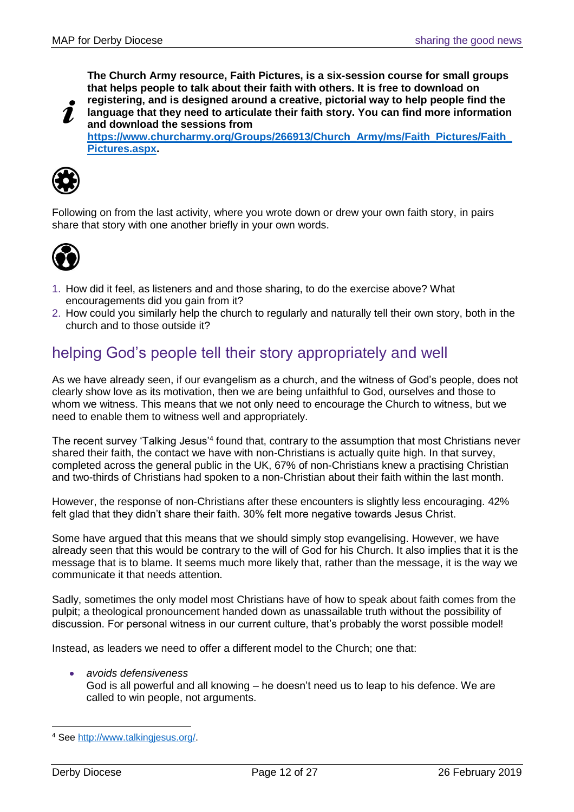**The Church Army resource, Faith Pictures, is a six-session course for small groups that helps people to talk about their faith with others. It is free to download on registering, and is designed around a creative, pictorial way to help people find the** 

**language that they need to articulate their faith story. You can find more information and download the sessions from** 

**[https://www.churcharmy.org/Groups/266913/Church\\_Army/ms/Faith\\_Pictures/Faith\\_](https://www.churcharmy.org/Groups/266913/Church_Army/ms/Faith_Pictures/Faith_Pictures.aspx) [Pictures.aspx.](https://www.churcharmy.org/Groups/266913/Church_Army/ms/Faith_Pictures/Faith_Pictures.aspx)**



Following on from the last activity, where you wrote down or drew your own faith story, in pairs share that story with one another briefly in your own words.



- 1. How did it feel, as listeners and and those sharing, to do the exercise above? What encouragements did you gain from it?
- 2. How could you similarly help the church to regularly and naturally tell their own story, both in the church and to those outside it?

## <span id="page-11-0"></span>helping God's people tell their story appropriately and well

As we have already seen, if our evangelism as a church, and the witness of God's people, does not clearly show love as its motivation, then we are being unfaithful to God, ourselves and those to whom we witness. This means that we not only need to encourage the Church to witness, but we need to enable them to witness well and appropriately.

The recent survey 'Talking Jesus'<sup>4</sup> found that, contrary to the assumption that most Christians never shared their faith, the contact we have with non-Christians is actually quite high. In that survey, completed across the general public in the UK, 67% of non-Christians knew a practising Christian and two-thirds of Christians had spoken to a non-Christian about their faith within the last month.

However, the response of non-Christians after these encounters is slightly less encouraging. 42% felt glad that they didn't share their faith. 30% felt more negative towards Jesus Christ.

Some have argued that this means that we should simply stop evangelising. However, we have already seen that this would be contrary to the will of God for his Church. It also implies that it is the message that is to blame. It seems much more likely that, rather than the message, it is the way we communicate it that needs attention.

Sadly, sometimes the only model most Christians have of how to speak about faith comes from the pulpit; a theological pronouncement handed down as unassailable truth without the possibility of discussion. For personal witness in our current culture, that's probably the worst possible model!

Instead, as leaders we need to offer a different model to the Church; one that:

- *avoids defensiveness*
	- God is all powerful and all knowing he doesn't need us to leap to his defence. We are called to win people, not arguments.

 <sup>4</sup> See [http://www.talkingjesus.org/.](http://www.talkingjesus.org/)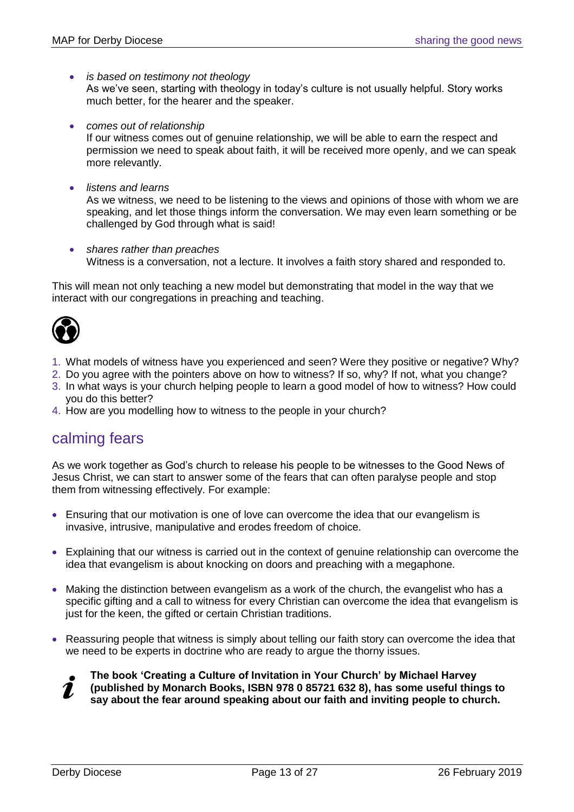• *is based on testimony not theology*

As we've seen, starting with theology in today's culture is not usually helpful. Story works much better, for the hearer and the speaker.

• *comes out of relationship*

If our witness comes out of genuine relationship, we will be able to earn the respect and permission we need to speak about faith, it will be received more openly, and we can speak more relevantly.

• *listens and learns*

As we witness, we need to be listening to the views and opinions of those with whom we are speaking, and let those things inform the conversation. We may even learn something or be challenged by God through what is said!

• *shares rather than preaches* Witness is a conversation, not a lecture. It involves a faith story shared and responded to.

This will mean not only teaching a new model but demonstrating that model in the way that we interact with our congregations in preaching and teaching.



- 1. What models of witness have you experienced and seen? Were they positive or negative? Why?
- 2. Do you agree with the pointers above on how to witness? If so, why? If not, what you change?
- 3. In what ways is your church helping people to learn a good model of how to witness? How could you do this better?
- 4. How are you modelling how to witness to the people in your church?

## <span id="page-12-0"></span>calming fears

As we work together as God's church to release his people to be witnesses to the Good News of Jesus Christ, we can start to answer some of the fears that can often paralyse people and stop them from witnessing effectively. For example:

- Ensuring that our motivation is one of love can overcome the idea that our evangelism is invasive, intrusive, manipulative and erodes freedom of choice.
- Explaining that our witness is carried out in the context of genuine relationship can overcome the idea that evangelism is about knocking on doors and preaching with a megaphone.
- Making the distinction between evangelism as a work of the church, the evangelist who has a specific gifting and a call to witness for every Christian can overcome the idea that evangelism is just for the keen, the gifted or certain Christian traditions.
- Reassuring people that witness is simply about telling our faith story can overcome the idea that we need to be experts in doctrine who are ready to argue the thorny issues.



**(published by Monarch Books, ISBN 978 0 85721 632 8), has some useful things to**  7 **say about the fear around speaking about our faith and inviting people to church.**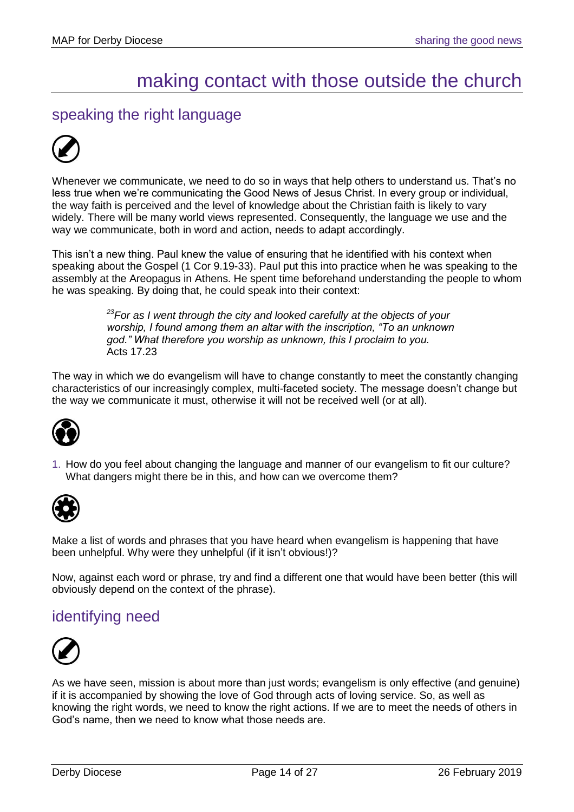## making contact with those outside the church

## <span id="page-13-1"></span><span id="page-13-0"></span>speaking the right language



Whenever we communicate, we need to do so in ways that help others to understand us. That's no less true when we're communicating the Good News of Jesus Christ. In every group or individual, the way faith is perceived and the level of knowledge about the Christian faith is likely to vary widely. There will be many world views represented. Consequently, the language we use and the way we communicate, both in word and action, needs to adapt accordingly.

This isn't a new thing. Paul knew the value of ensuring that he identified with his context when speaking about the Gospel (1 Cor 9.19-33). Paul put this into practice when he was speaking to the assembly at the Areopagus in Athens. He spent time beforehand understanding the people to whom he was speaking. By doing that, he could speak into their context:

> *<sup>23</sup>For as I went through the city and looked carefully at the objects of your worship, I found among them an altar with the inscription, "To an unknown god." What therefore you worship as unknown, this I proclaim to you.* Acts 17.23

The way in which we do evangelism will have to change constantly to meet the constantly changing characteristics of our increasingly complex, multi-faceted society. The message doesn't change but the way we communicate it must, otherwise it will not be received well (or at all).



1. How do you feel about changing the language and manner of our evangelism to fit our culture? What dangers might there be in this, and how can we overcome them?



Make a list of words and phrases that you have heard when evangelism is happening that have been unhelpful. Why were they unhelpful (if it isn't obvious!)?

Now, against each word or phrase, try and find a different one that would have been better (this will obviously depend on the context of the phrase).

## <span id="page-13-2"></span>identifying need



As we have seen, mission is about more than just words; evangelism is only effective (and genuine) if it is accompanied by showing the love of God through acts of loving service. So, as well as knowing the right words, we need to know the right actions. If we are to meet the needs of others in God's name, then we need to know what those needs are.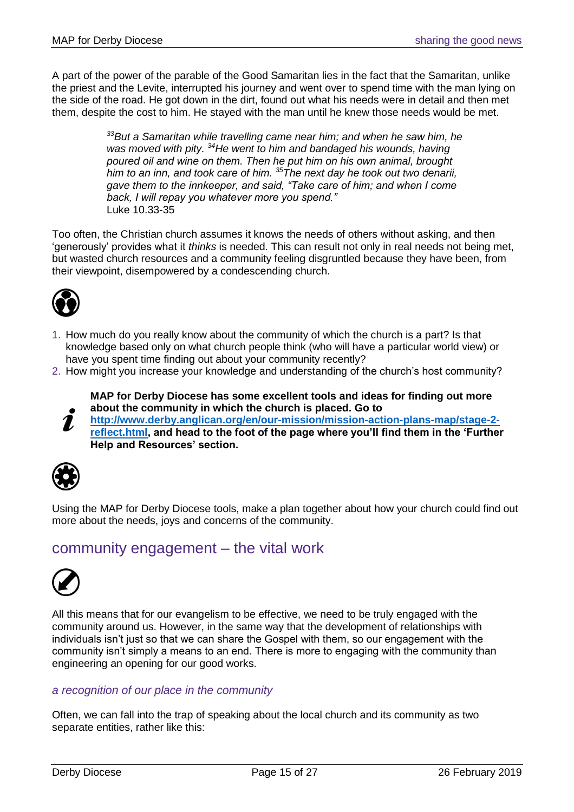A part of the power of the parable of the Good Samaritan lies in the fact that the Samaritan, unlike the priest and the Levite, interrupted his journey and went over to spend time with the man lying on the side of the road. He got down in the dirt, found out what his needs were in detail and then met them, despite the cost to him. He stayed with the man until he knew those needs would be met.

> *<sup>33</sup>But a Samaritan while travelling came near him; and when he saw him, he was moved with pity. <sup>34</sup>He went to him and bandaged his wounds, having poured oil and wine on them. Then he put him on his own animal, brought him to an inn, and took care of him. <sup>35</sup>The next day he took out two denarii, gave them to the innkeeper, and said, "Take care of him; and when I come back, I will repay you whatever more you spend."* Luke 10.33-35

Too often, the Christian church assumes it knows the needs of others without asking, and then 'generously' provides what it *thinks* is needed. This can result not only in real needs not being met, but wasted church resources and a community feeling disgruntled because they have been, from their viewpoint, disempowered by a condescending church.



- 1. How much do you really know about the community of which the church is a part? Is that knowledge based only on what church people think (who will have a particular world view) or have you spent time finding out about your community recently?
- 2. How might you increase your knowledge and understanding of the church's host community?

**MAP for Derby Diocese has some excellent tools and ideas for finding out more about the community in which the church is placed. Go to** 

**[http://www.derby.anglican.org/en/our-mission/mission-action-plans-map/stage-2-](http://www.derby.anglican.org/en/our-mission/mission-action-plans-map/stage-2-reflect.html)** 7 **[reflect.html,](http://www.derby.anglican.org/en/our-mission/mission-action-plans-map/stage-2-reflect.html) and head to the foot of the page where you'll find them in the 'Further Help and Resources' section.**



Using the MAP for Derby Diocese tools, make a plan together about how your church could find out more about the needs, joys and concerns of the community.

## <span id="page-14-0"></span>community engagement – the vital work



All this means that for our evangelism to be effective, we need to be truly engaged with the community around us. However, in the same way that the development of relationships with individuals isn't just so that we can share the Gospel with them, so our engagement with the community isn't simply a means to an end. There is more to engaging with the community than engineering an opening for our good works.

### *a recognition of our place in the community*

Often, we can fall into the trap of speaking about the local church and its community as two separate entities, rather like this: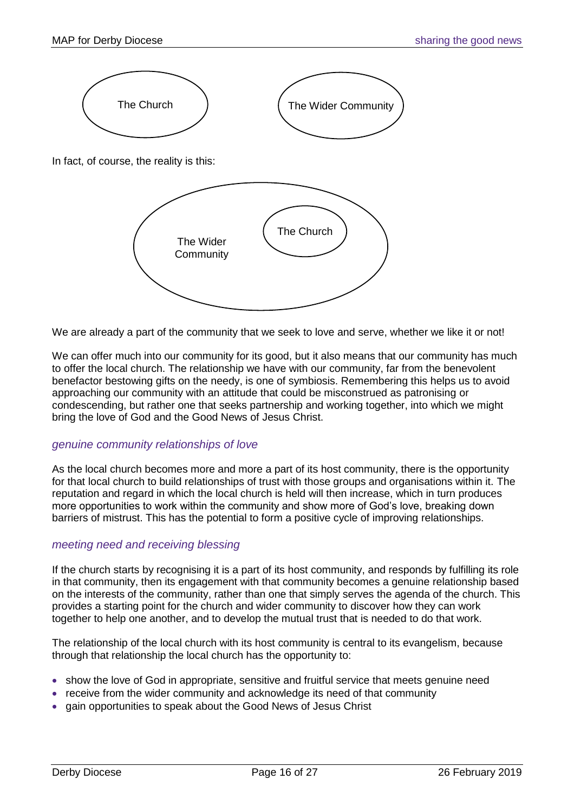

We are already a part of the community that we seek to love and serve, whether we like it or not!

We can offer much into our community for its good, but it also means that our community has much to offer the local church. The relationship we have with our community, far from the benevolent benefactor bestowing gifts on the needy, is one of symbiosis. Remembering this helps us to avoid approaching our community with an attitude that could be misconstrued as patronising or condescending, but rather one that seeks partnership and working together, into which we might bring the love of God and the Good News of Jesus Christ.

#### *genuine community relationships of love*

As the local church becomes more and more a part of its host community, there is the opportunity for that local church to build relationships of trust with those groups and organisations within it. The reputation and regard in which the local church is held will then increase, which in turn produces more opportunities to work within the community and show more of God's love, breaking down barriers of mistrust. This has the potential to form a positive cycle of improving relationships.

#### *meeting need and receiving blessing*

If the church starts by recognising it is a part of its host community, and responds by fulfilling its role in that community, then its engagement with that community becomes a genuine relationship based on the interests of the community, rather than one that simply serves the agenda of the church. This provides a starting point for the church and wider community to discover how they can work together to help one another, and to develop the mutual trust that is needed to do that work.

The relationship of the local church with its host community is central to its evangelism, because through that relationship the local church has the opportunity to:

- show the love of God in appropriate, sensitive and fruitful service that meets genuine need
- receive from the wider community and acknowledge its need of that community
- gain opportunities to speak about the Good News of Jesus Christ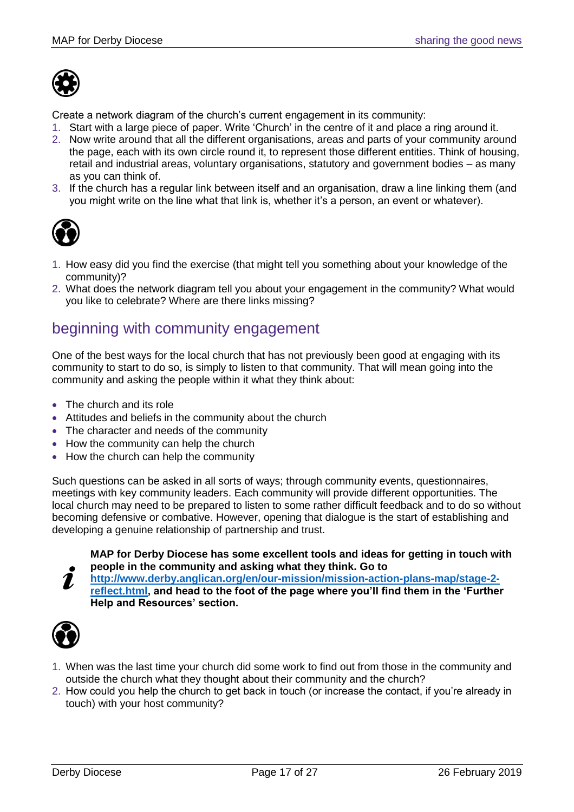

Create a network diagram of the church's current engagement in its community:

- 1. Start with a large piece of paper. Write 'Church' in the centre of it and place a ring around it.
- 2. Now write around that all the different organisations, areas and parts of your community around the page, each with its own circle round it, to represent those different entities. Think of housing, retail and industrial areas, voluntary organisations, statutory and government bodies – as many as you can think of.
- 3. If the church has a regular link between itself and an organisation, draw a line linking them (and you might write on the line what that link is, whether it's a person, an event or whatever).



- 1. How easy did you find the exercise (that might tell you something about your knowledge of the community)?
- 2. What does the network diagram tell you about your engagement in the community? What would you like to celebrate? Where are there links missing?

## <span id="page-16-0"></span>beginning with community engagement

One of the best ways for the local church that has not previously been good at engaging with its community to start to do so, is simply to listen to that community. That will mean going into the community and asking the people within it what they think about:

- The church and its role
- Attitudes and beliefs in the community about the church
- The character and needs of the community
- How the community can help the church
- How the church can help the community

Such questions can be asked in all sorts of ways; through community events, questionnaires, meetings with key community leaders. Each community will provide different opportunities. The local church may need to be prepared to listen to some rather difficult feedback and to do so without becoming defensive or combative. However, opening that dialogue is the start of establishing and developing a genuine relationship of partnership and trust.

**MAP for Derby Diocese has some excellent tools and ideas for getting in touch with people in the community and asking what they think. Go to** 

**[http://www.derby.anglican.org/en/our-mission/mission-action-plans-map/stage-2-](http://www.derby.anglican.org/en/our-mission/mission-action-plans-map/stage-2-reflect.html)**  $\mathbf{z}$ **[reflect.html,](http://www.derby.anglican.org/en/our-mission/mission-action-plans-map/stage-2-reflect.html) and head to the foot of the page where you'll find them in the 'Further Help and Resources' section.**



- 1. When was the last time your church did some work to find out from those in the community and outside the church what they thought about their community and the church?
- 2. How could you help the church to get back in touch (or increase the contact, if you're already in touch) with your host community?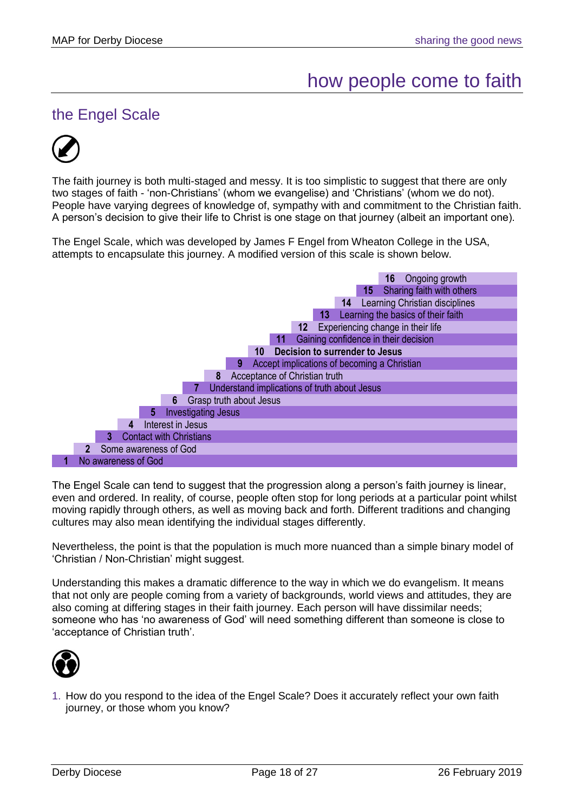## how people come to faith

## <span id="page-17-1"></span><span id="page-17-0"></span>the Engel Scale



The faith journey is both multi-staged and messy. It is too simplistic to suggest that there are only two stages of faith - 'non-Christians' (whom we evangelise) and 'Christians' (whom we do not). People have varying degrees of knowledge of, sympathy with and commitment to the Christian faith. A person's decision to give their life to Christ is one stage on that journey (albeit an important one).

The Engel Scale, which was developed by James F Engel from Wheaton College in the USA, attempts to encapsulate this journey. A modified version of this scale is shown below.



The Engel Scale can tend to suggest that the progression along a person's faith journey is linear, even and ordered. In reality, of course, people often stop for long periods at a particular point whilst moving rapidly through others, as well as moving back and forth. Different traditions and changing cultures may also mean identifying the individual stages differently.

Nevertheless, the point is that the population is much more nuanced than a simple binary model of 'Christian / Non-Christian' might suggest.

Understanding this makes a dramatic difference to the way in which we do evangelism. It means that not only are people coming from a variety of backgrounds, world views and attitudes, they are also coming at differing stages in their faith journey. Each person will have dissimilar needs; someone who has 'no awareness of God' will need something different than someone is close to 'acceptance of Christian truth'.



1. How do you respond to the idea of the Engel Scale? Does it accurately reflect your own faith journey, or those whom you know?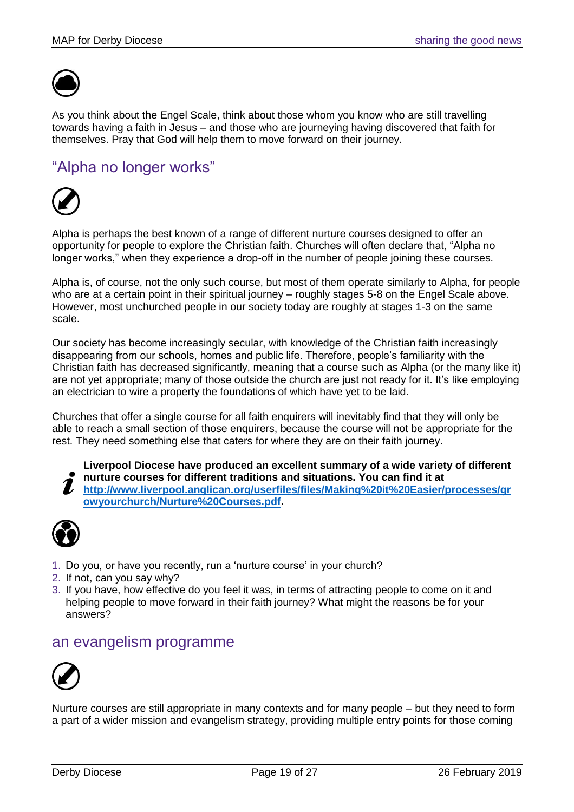

As you think about the Engel Scale, think about those whom you know who are still travelling towards having a faith in Jesus – and those who are journeying having discovered that faith for themselves. Pray that God will help them to move forward on their journey.

## <span id="page-18-0"></span>"Alpha no longer works"



Alpha is perhaps the best known of a range of different nurture courses designed to offer an opportunity for people to explore the Christian faith. Churches will often declare that, "Alpha no longer works," when they experience a drop-off in the number of people joining these courses.

Alpha is, of course, not the only such course, but most of them operate similarly to Alpha, for people who are at a certain point in their spiritual journey – roughly stages 5-8 on the Engel Scale above. However, most unchurched people in our society today are roughly at stages 1-3 on the same scale.

Our society has become increasingly secular, with knowledge of the Christian faith increasingly disappearing from our schools, homes and public life. Therefore, people's familiarity with the Christian faith has decreased significantly, meaning that a course such as Alpha (or the many like it) are not yet appropriate; many of those outside the church are just not ready for it. It's like employing an electrician to wire a property the foundations of which have yet to be laid.

Churches that offer a single course for all faith enquirers will inevitably find that they will only be able to reach a small section of those enquirers, because the course will not be appropriate for the rest. They need something else that caters for where they are on their faith journey.



**Liverpool Diocese have produced an excellent summary of a wide variety of different nurture courses for different traditions and situations. You can find it at [http://www.liverpool.anglican.org/userfiles/files/Making%20it%20Easier/processes/gr](http://www.liverpool.anglican.org/userfiles/files/Making%20it%20Easier/processes/growyourchurch/Nurture%20Courses.pdf) [owyourchurch/Nurture%20Courses.pdf.](http://www.liverpool.anglican.org/userfiles/files/Making%20it%20Easier/processes/growyourchurch/Nurture%20Courses.pdf)** 



- 1. Do you, or have you recently, run a 'nurture course' in your church?
- 2. If not, can you say why?
- 3. If you have, how effective do you feel it was, in terms of attracting people to come on it and helping people to move forward in their faith journey? What might the reasons be for your answers?

## <span id="page-18-1"></span>an evangelism programme



Nurture courses are still appropriate in many contexts and for many people – but they need to form a part of a wider mission and evangelism strategy, providing multiple entry points for those coming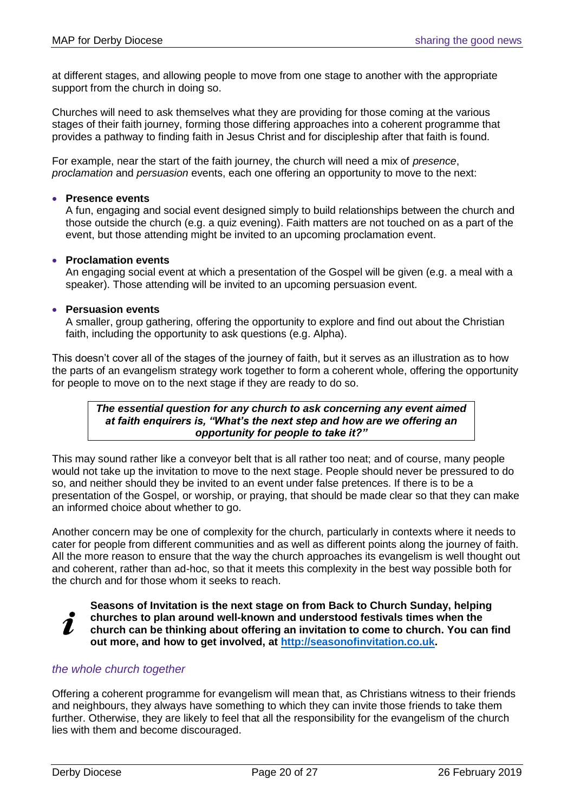at different stages, and allowing people to move from one stage to another with the appropriate support from the church in doing so.

Churches will need to ask themselves what they are providing for those coming at the various stages of their faith journey, forming those differing approaches into a coherent programme that provides a pathway to finding faith in Jesus Christ and for discipleship after that faith is found.

For example, near the start of the faith journey, the church will need a mix of *presence*, *proclamation* and *persuasion* events, each one offering an opportunity to move to the next:

#### • **Presence events**

A fun, engaging and social event designed simply to build relationships between the church and those outside the church (e.g. a quiz evening). Faith matters are not touched on as a part of the event, but those attending might be invited to an upcoming proclamation event.

#### • **Proclamation events**

An engaging social event at which a presentation of the Gospel will be given (e.g. a meal with a speaker). Those attending will be invited to an upcoming persuasion event.

#### • **Persuasion events**

A smaller, group gathering, offering the opportunity to explore and find out about the Christian faith, including the opportunity to ask questions (e.g. Alpha).

This doesn't cover all of the stages of the journey of faith, but it serves as an illustration as to how the parts of an evangelism strategy work together to form a coherent whole, offering the opportunity for people to move on to the next stage if they are ready to do so.

#### *The essential question for any church to ask concerning any event aimed at faith enquirers is, "What's the next step and how are we offering an opportunity for people to take it?"*

This may sound rather like a conveyor belt that is all rather too neat; and of course, many people would not take up the invitation to move to the next stage. People should never be pressured to do so, and neither should they be invited to an event under false pretences. If there is to be a presentation of the Gospel, or worship, or praying, that should be made clear so that they can make an informed choice about whether to go.

Another concern may be one of complexity for the church, particularly in contexts where it needs to cater for people from different communities and as well as different points along the journey of faith. All the more reason to ensure that the way the church approaches its evangelism is well thought out and coherent, rather than ad-hoc, so that it meets this complexity in the best way possible both for the church and for those whom it seeks to reach.

**Seasons of Invitation is the next stage on from Back to Church Sunday, helping** 

**churches to plan around well-known and understood festivals times when the** 

2 **church can be thinking about offering an invitation to come to church. You can find out more, and how to get involved, at [http://seasonofinvitation.co.uk.](http://seasonofinvitation.co.uk/)** 

### *the whole church together*

Offering a coherent programme for evangelism will mean that, as Christians witness to their friends and neighbours, they always have something to which they can invite those friends to take them further. Otherwise, they are likely to feel that all the responsibility for the evangelism of the church lies with them and become discouraged.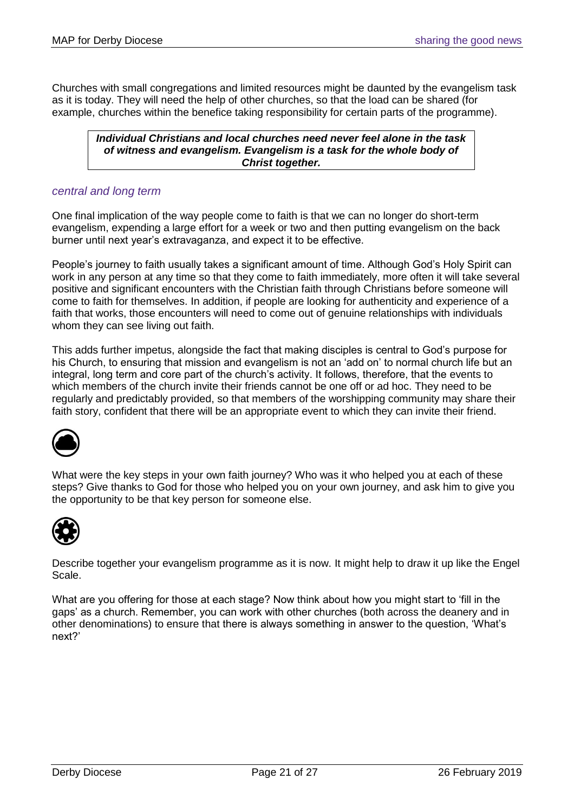Churches with small congregations and limited resources might be daunted by the evangelism task as it is today. They will need the help of other churches, so that the load can be shared (for example, churches within the benefice taking responsibility for certain parts of the programme).

*Individual Christians and local churches need never feel alone in the task of witness and evangelism. Evangelism is a task for the whole body of Christ together.*

#### *central and long term*

One final implication of the way people come to faith is that we can no longer do short-term evangelism, expending a large effort for a week or two and then putting evangelism on the back burner until next year's extravaganza, and expect it to be effective.

People's journey to faith usually takes a significant amount of time. Although God's Holy Spirit can work in any person at any time so that they come to faith immediately, more often it will take several positive and significant encounters with the Christian faith through Christians before someone will come to faith for themselves. In addition, if people are looking for authenticity and experience of a faith that works, those encounters will need to come out of genuine relationships with individuals whom they can see living out faith.

This adds further impetus, alongside the fact that making disciples is central to God's purpose for his Church, to ensuring that mission and evangelism is not an 'add on' to normal church life but an integral, long term and core part of the church's activity. It follows, therefore, that the events to which members of the church invite their friends cannot be one off or ad hoc. They need to be regularly and predictably provided, so that members of the worshipping community may share their faith story, confident that there will be an appropriate event to which they can invite their friend.



What were the key steps in your own faith journey? Who was it who helped you at each of these steps? Give thanks to God for those who helped you on your own journey, and ask him to give you the opportunity to be that key person for someone else.



Describe together your evangelism programme as it is now. It might help to draw it up like the Engel Scale.

What are you offering for those at each stage? Now think about how you might start to 'fill in the gaps' as a church. Remember, you can work with other churches (both across the deanery and in other denominations) to ensure that there is always something in answer to the question, 'What's next?'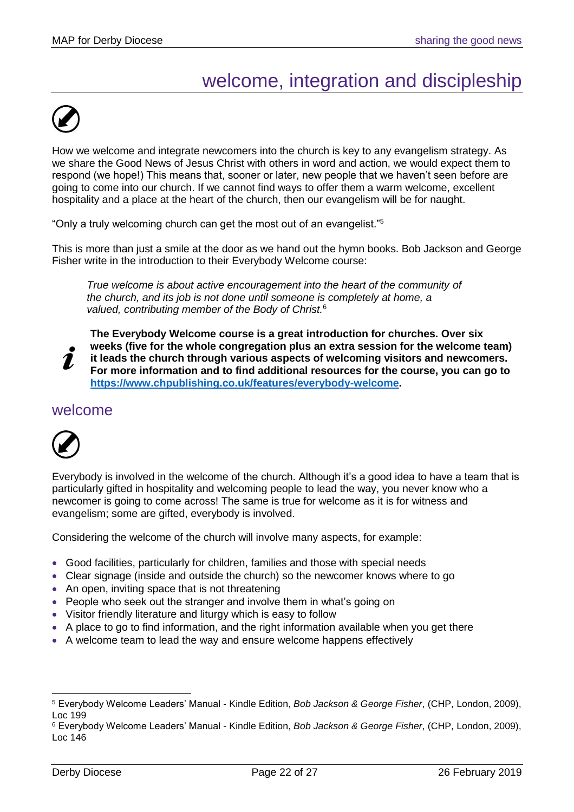## welcome, integration and discipleship

<span id="page-21-0"></span>

How we welcome and integrate newcomers into the church is key to any evangelism strategy. As we share the Good News of Jesus Christ with others in word and action, we would expect them to respond (we hope!) This means that, sooner or later, new people that we haven't seen before are going to come into our church. If we cannot find ways to offer them a warm welcome, excellent hospitality and a place at the heart of the church, then our evangelism will be for naught.

"Only a truly welcoming church can get the most out of an evangelist."<sup>5</sup>

This is more than just a smile at the door as we hand out the hymn books. Bob Jackson and George Fisher write in the introduction to their Everybody Welcome course:

*True welcome is about active encouragement into the heart of the community of the church, and its job is not done until someone is completely at home, a valued, contributing member of the Body of Christ.*<sup>6</sup>

1

**The Everybody Welcome course is a great introduction for churches. Over six weeks (five for the whole congregation plus an extra session for the welcome team) it leads the church through various aspects of welcoming visitors and newcomers. For more information and to find additional resources for the course, you can go to** 

**[https://www.chpublishing.co.uk/features/everybody-welcome.](https://www.chpublishing.co.uk/features/everybody-welcome)** 

### <span id="page-21-1"></span>welcome



Everybody is involved in the welcome of the church. Although it's a good idea to have a team that is particularly gifted in hospitality and welcoming people to lead the way, you never know who a newcomer is going to come across! The same is true for welcome as it is for witness and evangelism; some are gifted, everybody is involved.

Considering the welcome of the church will involve many aspects, for example:

- Good facilities, particularly for children, families and those with special needs
- Clear signage (inside and outside the church) so the newcomer knows where to go
- An open, inviting space that is not threatening
- People who seek out the stranger and involve them in what's going on
- Visitor friendly literature and liturgy which is easy to follow
- A place to go to find information, and the right information available when you get there
- A welcome team to lead the way and ensure welcome happens effectively

 $\overline{a}$ 

<sup>5</sup> Everybody Welcome Leaders' Manual - Kindle Edition, *Bob Jackson & George Fisher*, (CHP, London, 2009), Loc 199

<sup>6</sup> Everybody Welcome Leaders' Manual - Kindle Edition, *Bob Jackson & George Fisher*, (CHP, London, 2009), Loc 146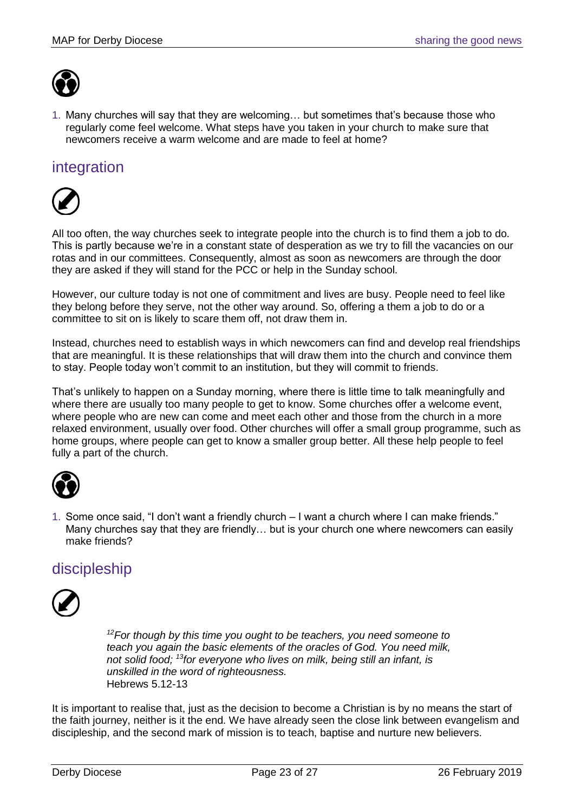

1. Many churches will say that they are welcoming… but sometimes that's because those who regularly come feel welcome. What steps have you taken in your church to make sure that newcomers receive a warm welcome and are made to feel at home?

## <span id="page-22-0"></span>integration



All too often, the way churches seek to integrate people into the church is to find them a job to do. This is partly because we're in a constant state of desperation as we try to fill the vacancies on our rotas and in our committees. Consequently, almost as soon as newcomers are through the door they are asked if they will stand for the PCC or help in the Sunday school.

However, our culture today is not one of commitment and lives are busy. People need to feel like they belong before they serve, not the other way around. So, offering a them a job to do or a committee to sit on is likely to scare them off, not draw them in.

Instead, churches need to establish ways in which newcomers can find and develop real friendships that are meaningful. It is these relationships that will draw them into the church and convince them to stay. People today won't commit to an institution, but they will commit to friends.

That's unlikely to happen on a Sunday morning, where there is little time to talk meaningfully and where there are usually too many people to get to know. Some churches offer a welcome event, where people who are new can come and meet each other and those from the church in a more relaxed environment, usually over food. Other churches will offer a small group programme, such as home groups, where people can get to know a smaller group better. All these help people to feel fully a part of the church.



1. Some once said, "I don't want a friendly church – I want a church where I can make friends." Many churches say that they are friendly… but is your church one where newcomers can easily make friends?

## <span id="page-22-1"></span>discipleship



*<sup>12</sup>For though by this time you ought to be teachers, you need someone to teach you again the basic elements of the oracles of God. You need milk, not solid food; <sup>13</sup>for everyone who lives on milk, being still an infant, is unskilled in the word of righteousness.* Hebrews 5.12-13

It is important to realise that, just as the decision to become a Christian is by no means the start of the faith journey, neither is it the end. We have already seen the close link between evangelism and discipleship, and the second mark of mission is to teach, baptise and nurture new believers.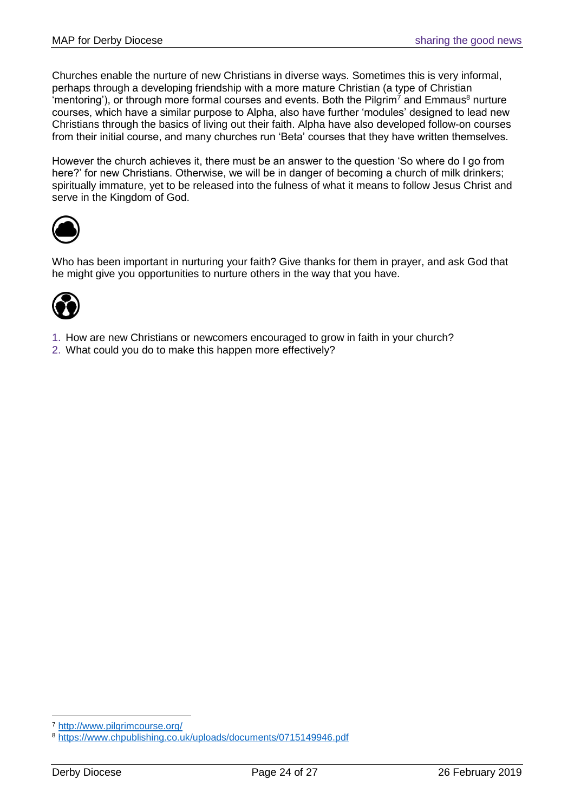Churches enable the nurture of new Christians in diverse ways. Sometimes this is very informal, perhaps through a developing friendship with a more mature Christian (a type of Christian 'mentoring'), or through more formal courses and events. Both the Pilgrim<sup>7</sup> and Emmaus<sup>8</sup> nurture courses, which have a similar purpose to Alpha, also have further 'modules' designed to lead new Christians through the basics of living out their faith. Alpha have also developed follow-on courses from their initial course, and many churches run 'Beta' courses that they have written themselves.

However the church achieves it, there must be an answer to the question 'So where do I go from here?' for new Christians. Otherwise, we will be in danger of becoming a church of milk drinkers; spiritually immature, yet to be released into the fulness of what it means to follow Jesus Christ and serve in the Kingdom of God.



Who has been important in nurturing your faith? Give thanks for them in prayer, and ask God that he might give you opportunities to nurture others in the way that you have.



- 1. How are new Christians or newcomers encouraged to grow in faith in your church?
- 2. What could you do to make this happen more effectively?

<sup>7</sup> <http://www.pilgrimcourse.org/>

<sup>8</sup> <https://www.chpublishing.co.uk/uploads/documents/0715149946.pdf>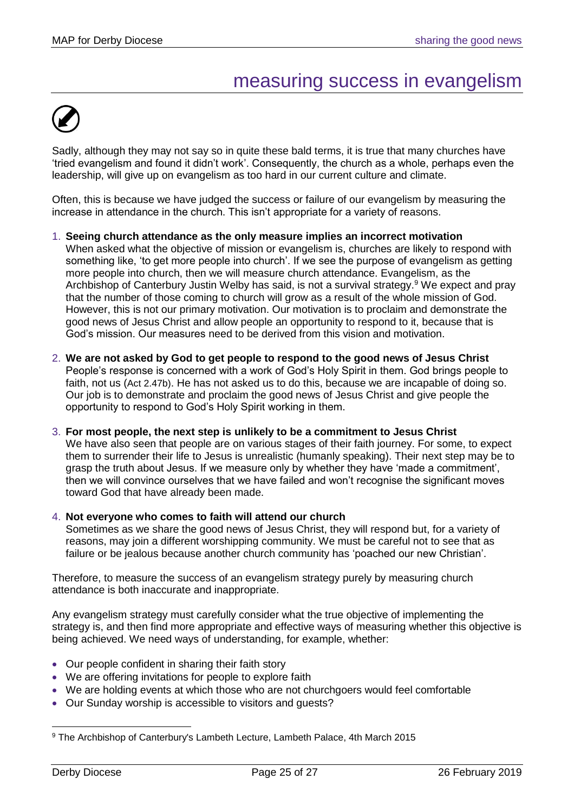## measuring success in evangelism

<span id="page-24-0"></span>

Sadly, although they may not say so in quite these bald terms, it is true that many churches have 'tried evangelism and found it didn't work'. Consequently, the church as a whole, perhaps even the leadership, will give up on evangelism as too hard in our current culture and climate.

Often, this is because we have judged the success or failure of our evangelism by measuring the increase in attendance in the church. This isn't appropriate for a variety of reasons.

- 1. **Seeing church attendance as the only measure implies an incorrect motivation** When asked what the objective of mission or evangelism is, churches are likely to respond with something like, 'to get more people into church'. If we see the purpose of evangelism as getting more people into church, then we will measure church attendance. Evangelism, as the Archbishop of Canterbury Justin Welby has said, is not a survival strategy.<sup>9</sup> We expect and pray that the number of those coming to church will grow as a result of the whole mission of God. However, this is not our primary motivation. Our motivation is to proclaim and demonstrate the good news of Jesus Christ and allow people an opportunity to respond to it, because that is God's mission. Our measures need to be derived from this vision and motivation.
- 2. **We are not asked by God to get people to respond to the good news of Jesus Christ** People's response is concerned with a work of God's Holy Spirit in them. God brings people to faith, not us (Act 2.47b). He has not asked us to do this, because we are incapable of doing so. Our job is to demonstrate and proclaim the good news of Jesus Christ and give people the opportunity to respond to God's Holy Spirit working in them.

#### 3. **For most people, the next step is unlikely to be a commitment to Jesus Christ**

We have also seen that people are on various stages of their faith journey. For some, to expect them to surrender their life to Jesus is unrealistic (humanly speaking). Their next step may be to grasp the truth about Jesus. If we measure only by whether they have 'made a commitment', then we will convince ourselves that we have failed and won't recognise the significant moves toward God that have already been made.

#### 4. **Not everyone who comes to faith will attend our church**

Sometimes as we share the good news of Jesus Christ, they will respond but, for a variety of reasons, may join a different worshipping community. We must be careful not to see that as failure or be jealous because another church community has 'poached our new Christian'.

Therefore, to measure the success of an evangelism strategy purely by measuring church attendance is both inaccurate and inappropriate.

Any evangelism strategy must carefully consider what the true objective of implementing the strategy is, and then find more appropriate and effective ways of measuring whether this objective is being achieved. We need ways of understanding, for example, whether:

- Our people confident in sharing their faith story
- We are offering invitations for people to explore faith
- We are holding events at which those who are not churchgoers would feel comfortable
- Our Sunday worship is accessible to visitors and guests?

<sup>9</sup> The Archbishop of Canterbury's Lambeth Lecture, Lambeth Palace, 4th March 2015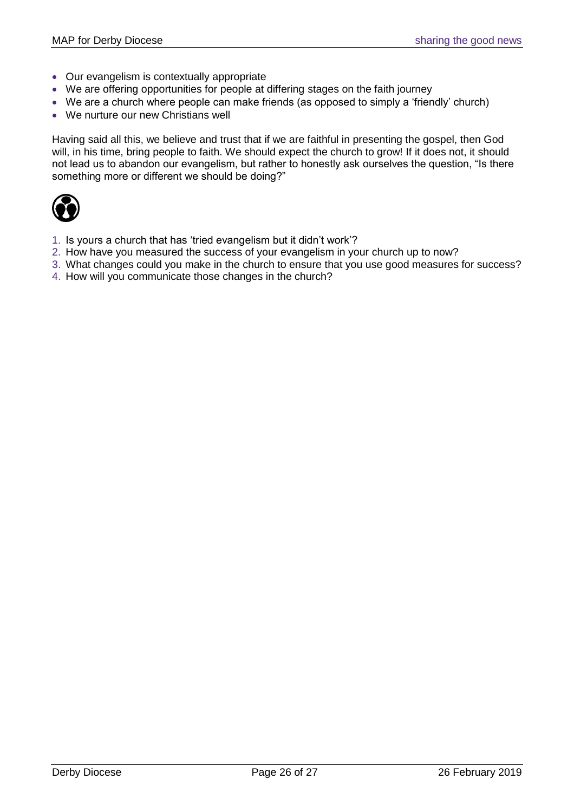- Our evangelism is contextually appropriate
- We are offering opportunities for people at differing stages on the faith journey
- We are a church where people can make friends (as opposed to simply a 'friendly' church)
- We nurture our new Christians well

Having said all this, we believe and trust that if we are faithful in presenting the gospel, then God will, in his time, bring people to faith. We should expect the church to grow! If it does not, it should not lead us to abandon our evangelism, but rather to honestly ask ourselves the question, "Is there something more or different we should be doing?"



- 1. Is yours a church that has 'tried evangelism but it didn't work'?
- 2. How have you measured the success of your evangelism in your church up to now?
- 3. What changes could you make in the church to ensure that you use good measures for success?
- 4. How will you communicate those changes in the church?